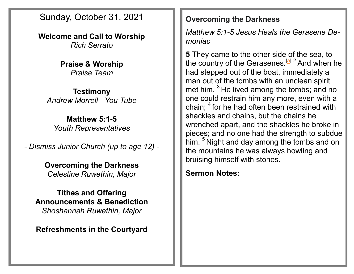Sunday, October 31, 2021

**Welcome and Call to Worship** *Rich Serrato*

> **Praise & Worship** *Praise Team*

**Testimony** *Andrew Morrell - You Tube*

**Matthew 5:1-5** *Youth Representatives*

*- Dismiss Junior Church (up to age 12) -*

**Overcoming the Darkness** *Celestine Ruwethin, Major*

**Tithes and Offering Announcements & Benediction** *Shoshannah Ruwethin, Major*

**Refreshments in the Courtyard**

### **Overcoming the Darkness**

*Matthew 5:1-5 Jesus Heals the Gerasene Demoniac*

**5** They came to the other side of the sea, to the country of the Gerasenes.<sup>[[a\]](https://www.biblegateway.com/passage/?search=Mark+5%3A1-5&version=NRSV#fen-NRSV-24363a) 2</sup> And when he had stepped out of the boat, immediately a man out of the tombs with an unclean spirit met him. <sup>3</sup> He lived among the tombs; and no one could restrain him any more, even with a chain; <sup>4</sup> for he had often been restrained with shackles and chains, but the chains he wrenched apart, and the shackles he broke in pieces; and no one had the strength to subdue him. <sup>5</sup> Night and day among the tombs and on the mountains he was always howling and bruising himself with stones.

## **Sermon Notes:**